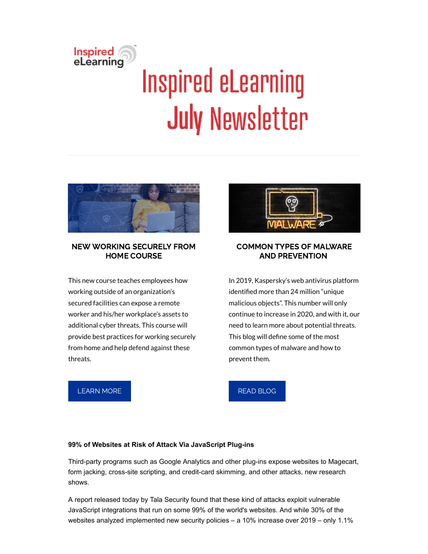# Inspired<br>eLearning **Inspired eLearning July Newsletter**



# NEW WORKING SECURELY FROM HOME COURSE

This new course teaches employees how working outside of an organization's secured facilities can expose a remote worker and his/her workplace's assets to additional cyber threats. This course will provide best practices for working securely from home and help defend against these threats.



# COMMON TYPES OF MALWARE AND PREVENTION

In 2019, Kaspersky's web antivirus platform identified more than 24 million "unique malicious objects". This number will only continue to increase in 2020, and with it, our need to learn more about potential threats. This blog will define some of the most common types of malware and how to prevent them.

[LEARN](https://inspiredelearning.com/blog/inspired-elearning-launches-new-working-securely-from-home-course/) MORE

# READ [BLOG](https://inspiredelearning.com/blog/types-of-malware/)

# **99% of Websites at Risk of Attack Via JavaScript Plug-ins**

Third-party programs such as Google Analytics and other plug-ins expose websites to Magecart, form jacking, cross-site scripting, and credit-card skimming, and other attacks, new research shows.

[A report](https://protect-us.mimecast.com/s/JWGzCR6MLxfrmAzPqFPyRZY?domain=go.talasecurity.io) released today by Tala Security found that these kind of attacks exploit vulnerable JavaScript integrations that run on some 99% of the world's websites. And while 30% of the websites analyzed implemented new security policies – a 10% increase over 2019 – only 1.1%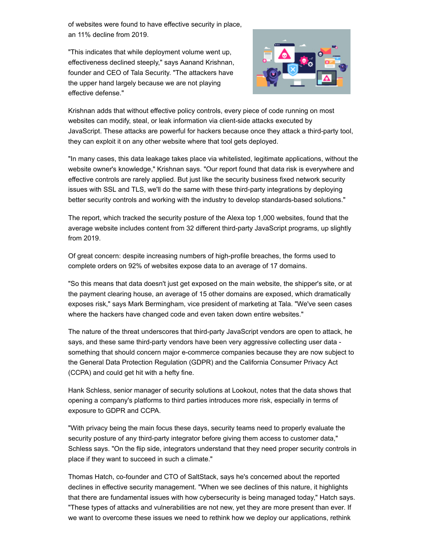of websites were found to have effective security in place, an 11% decline from 2019.

"This indicates that while deployment volume went up, effectiveness declined steeply," says Aanand Krishnan, founder and CEO of Tala Security. "The attackers have the upper hand largely because we are not playing effective defense."



Krishnan adds that without effective policy controls, every piece of code running on most websites can modify, steal, or leak information via client-side attacks executed by JavaScript. These attacks are powerful for hackers because once they attack a third-party tool, they can exploit it on any other website where that tool gets deployed.

"In many cases, this data leakage takes place via whitelisted, legitimate applications, without the website owner's knowledge," Krishnan says. "Our report found that data risk is everywhere and effective controls are rarely applied. But just like the security business fixed network security issues with SSL and TLS, we'll do the same with these third-party integrations by deploying better security controls and working with the industry to develop standards-based solutions."

The report, which tracked the security posture of the Alexa top 1,000 websites, found that the average website includes content from 32 different third-party JavaScript programs, up slightly from 2019.

Of great concern: despite increasing numbers of high-profile breaches, the forms used to complete orders on 92% of websites expose data to an average of 17 domains.

"So this means that data doesn't just get exposed on the main website, the shipper's site, or at the payment clearing house, an average of 15 other domains are exposed, which dramatically exposes risk," says Mark Bermingham, vice president of marketing at Tala. "We've seen cases where the hackers have changed code and even taken down entire websites."

The nature of the threat underscores that third-party JavaScript vendors are open to attack, he says, and these same third-party vendors have been very aggressive collecting user data something that should concern major e-commerce companies because they are now subject to the General Data Protection Regulation (GDPR) and the California Consumer Privacy Act (CCPA) and could get hit with a hefty fine.

Hank Schless, senior manager of security solutions at Lookout, notes that the data shows that opening a company's platforms to third parties introduces more risk, especially in terms of exposure to GDPR and CCPA.

"With privacy being the main focus these days, security teams need to properly evaluate the security posture of any third-party integrator before giving them access to customer data," Schless says. "On the flip side, integrators understand that they need proper security controls in place if they want to succeed in such a climate."

Thomas Hatch, co-founder and CTO of SaltStack, says he's concerned about the reported declines in effective security management. "When we see declines of this nature, it highlights that there are fundamental issues with how cybersecurity is being managed today," Hatch says. "These types of attacks and vulnerabilities are not new, yet they are more present than ever. If we want to overcome these issues we need to rethink how we deploy our applications, rethink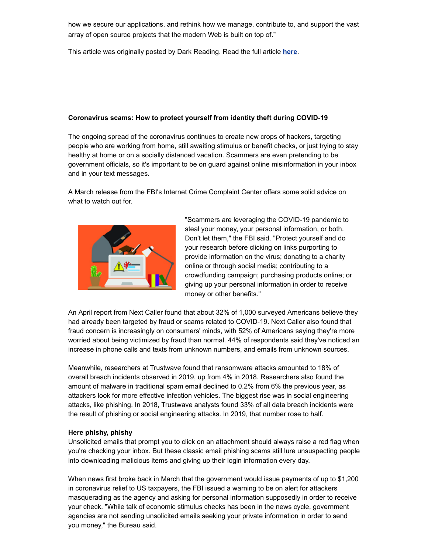how we secure our applications, and rethink how we manage, contribute to, and support the vast array of open source projects that the modern Web is built on top of."

This article was originally posted by Dark Reading. Read the full article **[here](https://www.darkreading.com/attacks-breaches/99--of-websites-at-risk-of-attack-via-javascript-plug-ins/d/d-id/1338344?_mc=rss_x_drr_edt_aud_dr_x_x-rss-simple)**.

### **Coronavirus scams: How to protect yourself from identity theft during COVID-19**

The ongoing spread of the coronavirus continues to create new crops of hackers, targeting people who are working from home, still awaiting stimulus or benefit checks, or just trying to stay healthy at home or on a socially distanced vacation. Scammers are even pretending to be government officials, so it's important to be on guard against online misinformation in your inbox and in your text messages.

A March release from the FBI's Internet Crime Complaint Center offers some solid advice on what to watch out for.



"Scammers are leveraging the COVID-19 pandemic to steal your money, your personal information, or both. Don't let them," the FBI said. "Protect yourself and do your research before clicking on links purporting to provide information on the virus; donating to a charity online or through social media; contributing to a crowdfunding campaign; purchasing products online; or giving up your personal information in order to receive money or other benefits."

An April report from Next Caller found that about 32% of 1,000 surveyed Americans believe they had already been targeted by fraud or scams related to COVID-19. Next Caller also found that fraud concern is increasingly on consumers' minds, with 52% of Americans saying they're more worried about being victimized by fraud than normal. 44% of respondents said they've noticed an increase in phone calls and texts from unknown numbers, and emails from unknown sources.

Meanwhile, researchers at Trustwave found that ransomware attacks amounted to 18% of overall breach incidents observed in 2019, up from 4% in 2018. Researchers also found the amount of malware in traditional spam email declined to 0.2% from 6% the previous year, as attackers look for more effective infection vehicles. The biggest rise was in social engineering attacks, like phishing. In 2018, Trustwave analysts found 33% of all data breach incidents were the result of phishing or social engineering attacks. In 2019, that number rose to half.

#### **Here phishy, phishy**

Unsolicited emails that prompt you to click on an attachment should always raise a red flag when you're checking your inbox. But these classic email phishing scams still lure unsuspecting people into downloading malicious items and giving up their login information every day.

When news first broke back in March that the government would issue payments of up to \$1,200 in coronavirus relief to US taxpayers, the FBI issued a warning to be on alert for attackers masquerading as the agency and asking for personal information supposedly in order to receive your check. "While talk of economic stimulus checks has been in the news cycle, government agencies are not sending unsolicited emails seeking your private information in order to send you money," the Bureau said.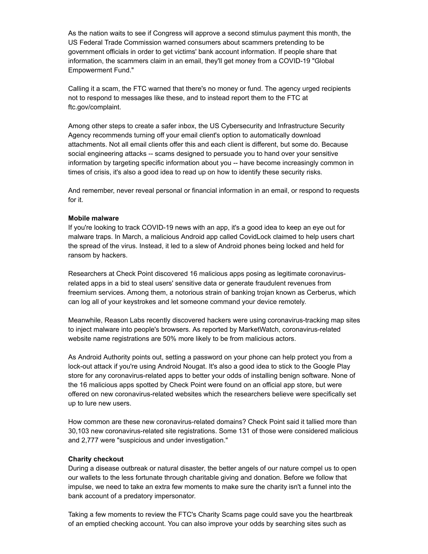As the nation waits to see if Congress will approve a second stimulus payment this month, the US Federal Trade Commission warned consumers about scammers pretending to be government officials in order to get victims' bank account information. If people share that information, the scammers claim in an email, they'll get money from a COVID-19 "Global Empowerment Fund."

Calling it a scam, the FTC warned that there's no money or fund. The agency urged recipients not to respond to messages like these, and to instead report them to the FTC at ftc.gov/complaint.

Among other steps to create a safer inbox, the US Cybersecurity and Infrastructure Security Agency recommends turning off your email client's option to automatically download attachments. Not all email clients offer this and each client is different, but some do. Because social engineering attacks -- scams designed to persuade you to hand over your sensitive information by targeting specific information about you -- have become increasingly common in times of crisis, it's also a good idea to read up on how to identify these security risks.

And remember, never reveal personal or financial information in an email, or respond to requests for it.

#### **Mobile malware**

If you're looking to track COVID-19 news with an app, it's a good idea to keep an eye out for malware traps. In March, a malicious Android app called CovidLock claimed to help users chart the spread of the virus. Instead, it led to a slew of Android phones being locked and held for ransom by hackers.

Researchers at Check Point discovered 16 malicious apps posing as legitimate coronavirusrelated apps in a bid to steal users' sensitive data or generate fraudulent revenues from freemium services. Among them, a notorious strain of banking trojan known as Cerberus, which can log all of your keystrokes and let someone command your device remotely.

Meanwhile, Reason Labs recently discovered hackers were using coronavirus-tracking map sites to inject malware into people's browsers. As reported by MarketWatch, coronavirus-related website name registrations are 50% more likely to be from malicious actors.

As Android Authority points out, setting a password on your phone can help protect you from a lock-out attack if you're using Android Nougat. It's also a good idea to stick to the Google Play store for any coronavirus-related apps to better your odds of installing benign software. None of the 16 malicious apps spotted by Check Point were found on an official app store, but were offered on new coronavirus-related websites which the researchers believe were specifically set up to lure new users.

How common are these new coronavirus-related domains? Check Point said it tallied more than 30,103 new coronavirus-related site registrations. Some 131 of those were considered malicious and 2,777 were "suspicious and under investigation."

#### **Charity checkout**

During a disease outbreak or natural disaster, the better angels of our nature compel us to open our wallets to the less fortunate through charitable giving and donation. Before we follow that impulse, we need to take an extra few moments to make sure the charity isn't a funnel into the bank account of a predatory impersonator.

Taking a few moments to review the FTC's Charity Scams page could save you the heartbreak of an emptied checking account. You can also improve your odds by searching sites such as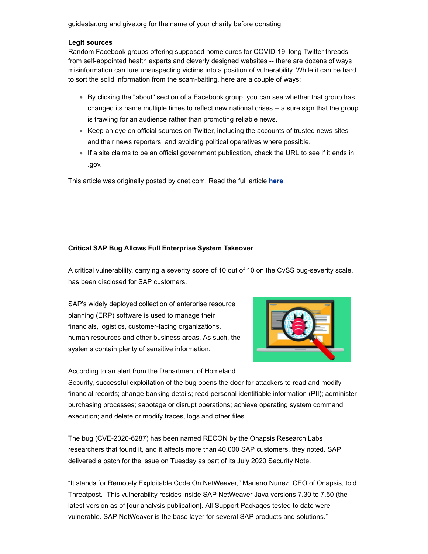guidestar.org and give.org for the name of your charity before donating.

#### **Legit sources**

Random Facebook groups offering supposed home cures for COVID-19, long Twitter threads from self-appointed health experts and cleverly designed websites -- there are dozens of ways misinformation can lure unsuspecting victims into a position of vulnerability. While it can be hard to sort the solid information from the scam-baiting, here are a couple of ways:

- By clicking the "about" section of a Facebook group, you can see whether that group has changed its name multiple times to reflect new national crises -- a sure sign that the group is trawling for an audience rather than promoting reliable news.
- Keep an eye on official sources on Twitter, including the accounts of trusted news sites and their news reporters, and avoiding political operatives where possible.
- If a site claims to be an official government publication, check the URL to see if it ends in .gov.

This article was originally posted by cnet.com. Read the full article **[here](https://www.cnet.com/how-to/coronavirus-scams-how-to-protect-yourself-from-identity-theft-during-covid-19/)**.

# **Critical SAP Bug Allows Full Enterprise System Takeover**

A critical vulnerability, carrying a severity score of 10 out of 10 on the CvSS bug-severity scale, has been disclosed for SAP customers.

SAP's widely deployed collection of enterprise resource planning (ERP) software is used to manage their financials, logistics, customer-facing organizations, human resources and other business areas. As such, the systems contain plenty of sensitive information.



According to an alert from the Department of Homeland

Security, successful exploitation of the bug opens the door for attackers to read and modify financial records; change banking details; read personal identifiable information (PII); administer purchasing processes; sabotage or disrupt operations; achieve operating system command execution; and delete or modify traces, logs and other files.

The bug (CVE-2020-6287) has been named RECON by the Onapsis Research Labs researchers that found it, and it affects more than 40,000 SAP customers, they noted. SAP delivered a patch for the issue on Tuesday as part of its July 2020 Security Note.

"It stands for Remotely Exploitable Code On NetWeaver," Mariano Nunez, CEO of Onapsis, told Threatpost. "This vulnerability resides inside SAP NetWeaver Java versions 7.30 to 7.50 (the latest version as of [our analysis publication]. All Support Packages tested to date were vulnerable. SAP NetWeaver is the base layer for several SAP products and solutions."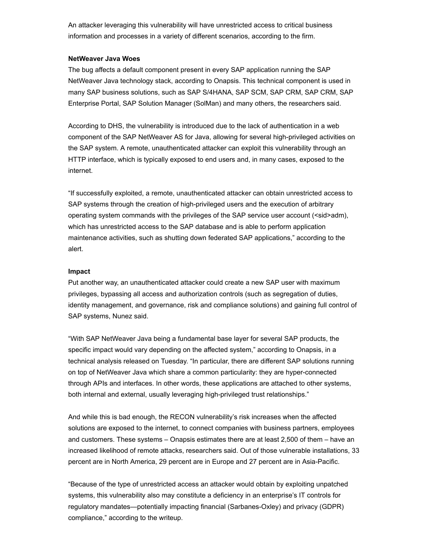An attacker leveraging this vulnerability will have unrestricted access to critical business information and processes in a variety of different scenarios, according to the firm.

#### **NetWeaver Java Woes**

The bug affects a default component present in every SAP application running the SAP NetWeaver Java technology stack, according to Onapsis. This technical component is used in many SAP business solutions, such as SAP S/4HANA, SAP SCM, SAP CRM, SAP CRM, SAP Enterprise Portal, SAP Solution Manager (SolMan) and many others, the researchers said.

According to DHS, the vulnerability is introduced due to the lack of authentication in a web component of the SAP NetWeaver AS for Java, allowing for several high-privileged activities on the SAP system. A remote, unauthenticated attacker can exploit this vulnerability through an HTTP interface, which is typically exposed to end users and, in many cases, exposed to the internet.

"If successfully exploited, a remote, unauthenticated attacker can obtain unrestricted access to SAP systems through the creation of high-privileged users and the execution of arbitrary operating system commands with the privileges of the SAP service user account (<sid>adm), which has unrestricted access to the SAP database and is able to perform application maintenance activities, such as shutting down federated SAP applications," according to the alert.

#### **Impact**

Put another way, an unauthenticated attacker could create a new SAP user with maximum privileges, bypassing all access and authorization controls (such as segregation of duties, identity management, and governance, risk and compliance solutions) and gaining full control of SAP systems, Nunez said.

"With SAP NetWeaver Java being a fundamental base layer for several SAP products, the specific impact would vary depending on the affected system," according to Onapsis, in a technical analysis released on Tuesday. "In particular, there are different SAP solutions running on top of NetWeaver Java which share a common particularity: they are hyper-connected through APIs and interfaces. In other words, these applications are attached to other systems, both internal and external, usually leveraging high-privileged trust relationships."

And while this is bad enough, the RECON vulnerability's risk increases when the affected solutions are exposed to the internet, to connect companies with business partners, employees and customers. These systems – Onapsis estimates there are at least 2,500 of them – have an increased likelihood of remote attacks, researchers said. Out of those vulnerable installations, 33 percent are in North America, 29 percent are in Europe and 27 percent are in Asia-Pacific.

"Because of the type of unrestricted access an attacker would obtain by exploiting unpatched systems, this vulnerability also may constitute a deficiency in an enterprise's IT controls for regulatory mandates—potentially impacting financial (Sarbanes-Oxley) and privacy (GDPR) compliance," according to the writeup.